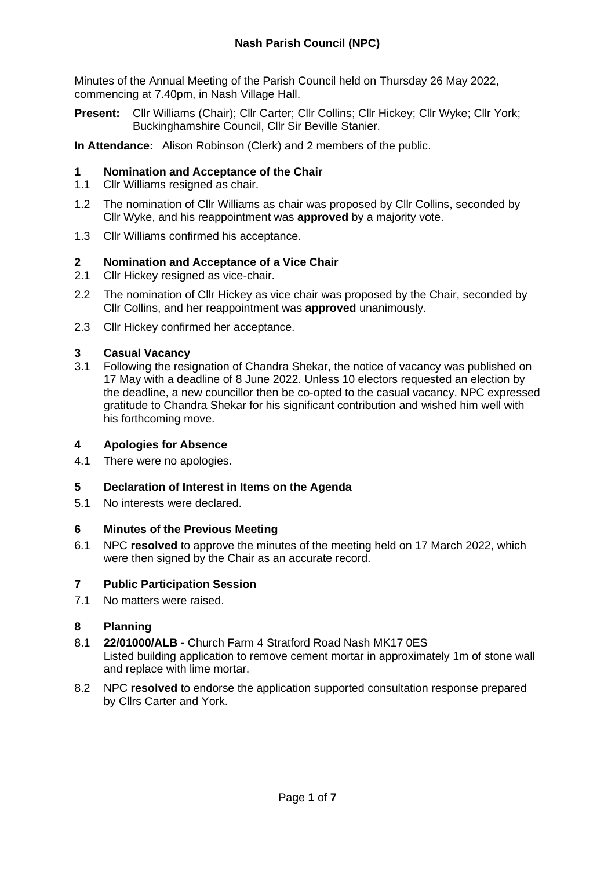Minutes of the Annual Meeting of the Parish Council held on Thursday 26 May 2022, commencing at 7.40pm, in Nash Village Hall.

**Present:** Cllr Williams (Chair); Cllr Carter; Cllr Collins; Cllr Hickey; Cllr Wyke; Cllr York; Buckinghamshire Council, Cllr Sir Beville Stanier.

**In Attendance:** Alison Robinson (Clerk) and 2 members of the public.

### **1 Nomination and Acceptance of the Chair**

- 1.1 Cllr Williams resigned as chair.
- 1.2 The nomination of Cllr Williams as chair was proposed by Cllr Collins, seconded by Cllr Wyke, and his reappointment was **approved** by a majority vote.
- 1.3 Cllr Williams confirmed his acceptance.

## **2 Nomination and Acceptance of a Vice Chair**

- 2.1 Cllr Hickey resigned as vice-chair.
- 2.2 The nomination of Cllr Hickey as vice chair was proposed by the Chair, seconded by Cllr Collins, and her reappointment was **approved** unanimously.
- 2.3 Cllr Hickey confirmed her acceptance.

## **3 Casual Vacancy**

3.1 Following the resignation of Chandra Shekar, the notice of vacancy was published on 17 May with a deadline of 8 June 2022. Unless 10 electors requested an election by the deadline, a new councillor then be co-opted to the casual vacancy. NPC expressed gratitude to Chandra Shekar for his significant contribution and wished him well with his forthcoming move.

#### **4 Apologies for Absence**

4.1 There were no apologies.

#### **5 Declaration of Interest in Items on the Agenda**

5.1 No interests were declared.

#### **6 Minutes of the Previous Meeting**

6.1 NPC **resolved** to approve the minutes of the meeting held on 17 March 2022, which were then signed by the Chair as an accurate record.

# **7 Public Participation Session**

7.1 No matters were raised.

# **8 Planning**

- 8.1 **22/01000/ALB -** Church Farm 4 Stratford Road Nash MK17 0ES Listed building application to remove cement mortar in approximately 1m of stone wall and replace with lime mortar.
- 8.2 NPC **resolved** to endorse the application supported consultation response prepared by Cllrs Carter and York.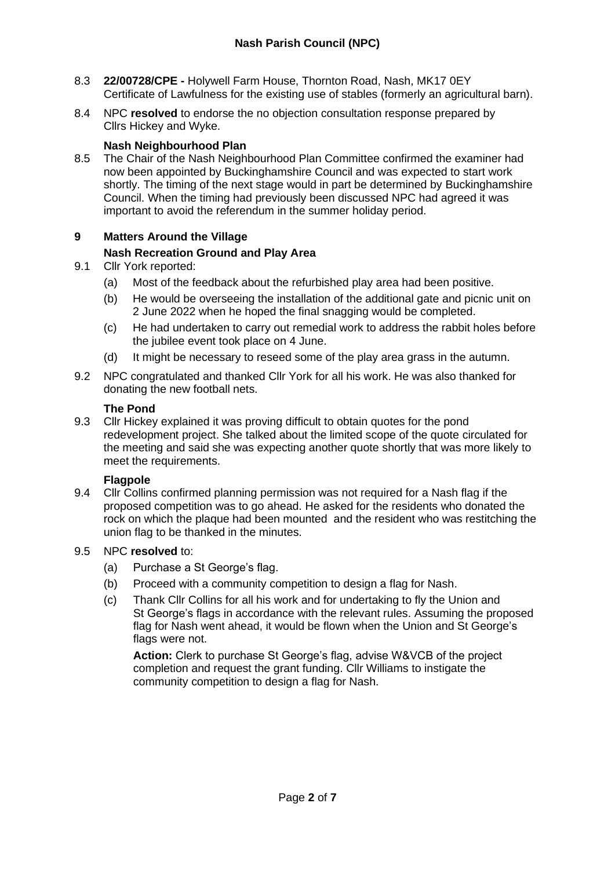- 8.3 **22/00728/CPE -** Holywell Farm House, Thornton Road, Nash, MK17 0EY Certificate of Lawfulness for the existing use of stables (formerly an agricultural barn).
- 8.4 NPC **resolved** to endorse the no objection consultation response prepared by Cllrs Hickey and Wyke.

## **Nash Neighbourhood Plan**

8.5 The Chair of the Nash Neighbourhood Plan Committee confirmed the examiner had now been appointed by Buckinghamshire Council and was expected to start work shortly. The timing of the next stage would in part be determined by Buckinghamshire Council. When the timing had previously been discussed NPC had agreed it was important to avoid the referendum in the summer holiday period.

# **9 Matters Around the Village**

# **Nash Recreation Ground and Play Area**

# 9.1 Cllr York reported:

- (a) Most of the feedback about the refurbished play area had been positive.
- (b) He would be overseeing the installation of the additional gate and picnic unit on 2 June 2022 when he hoped the final snagging would be completed.
- (c) He had undertaken to carry out remedial work to address the rabbit holes before the jubilee event took place on 4 June.
- (d) It might be necessary to reseed some of the play area grass in the autumn.
- 9.2 NPC congratulated and thanked Cllr York for all his work. He was also thanked for donating the new football nets.

## **The Pond**

9.3 Cllr Hickey explained it was proving difficult to obtain quotes for the pond redevelopment project. She talked about the limited scope of the quote circulated for the meeting and said she was expecting another quote shortly that was more likely to meet the requirements.

# **Flagpole**

9.4 Cllr Collins confirmed planning permission was not required for a Nash flag if the proposed competition was to go ahead. He asked for the residents who donated the rock on which the plaque had been mounted and the resident who was restitching the union flag to be thanked in the minutes.

# 9.5 NPC **resolved** to:

- (a) Purchase a St George's flag.
- (b) Proceed with a community competition to design a flag for Nash.
- (c) Thank Cllr Collins for all his work and for undertaking to fly the Union and St George's flags in accordance with the relevant rules. Assuming the proposed flag for Nash went ahead, it would be flown when the Union and St George's flags were not.

**Action:** Clerk to purchase St George's flag, advise W&VCB of the project completion and request the grant funding. Cllr Williams to instigate the community competition to design a flag for Nash.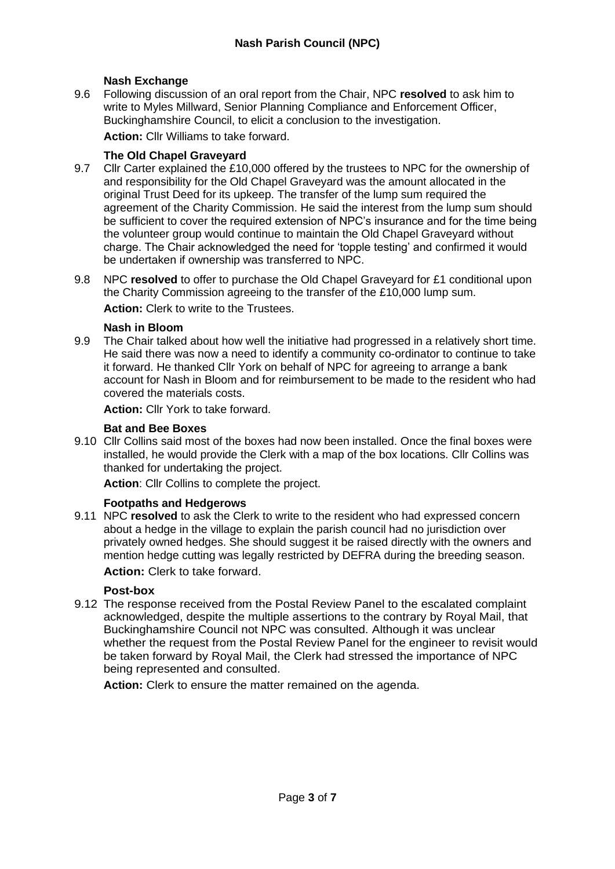# **Nash Exchange**

9.6 Following discussion of an oral report from the Chair, NPC **resolved** to ask him to write to Myles Millward, Senior Planning Compliance and Enforcement Officer, Buckinghamshire Council, to elicit a conclusion to the investigation.

**Action:** Cllr Williams to take forward.

## **The Old Chapel Graveyard**

- 9.7 Cllr Carter explained the £10,000 offered by the trustees to NPC for the ownership of and responsibility for the Old Chapel Graveyard was the amount allocated in the original Trust Deed for its upkeep. The transfer of the lump sum required the agreement of the Charity Commission. He said the interest from the lump sum should be sufficient to cover the required extension of NPC's insurance and for the time being the volunteer group would continue to maintain the Old Chapel Graveyard without charge. The Chair acknowledged the need for 'topple testing' and confirmed it would be undertaken if ownership was transferred to NPC.
- 9.8 NPC **resolved** to offer to purchase the Old Chapel Graveyard for £1 conditional upon the Charity Commission agreeing to the transfer of the £10,000 lump sum.

**Action:** Clerk to write to the Trustees.

### **Nash in Bloom**

9.9 The Chair talked about how well the initiative had progressed in a relatively short time. He said there was now a need to identify a community co-ordinator to continue to take it forward. He thanked Cllr York on behalf of NPC for agreeing to arrange a bank account for Nash in Bloom and for reimbursement to be made to the resident who had covered the materials costs.

**Action:** Cllr York to take forward.

## **Bat and Bee Boxes**

9.10 Cllr Collins said most of the boxes had now been installed. Once the final boxes were installed, he would provide the Clerk with a map of the box locations. Cllr Collins was thanked for undertaking the project.

**Action**: Cllr Collins to complete the project.

#### **Footpaths and Hedgerows**

9.11 NPC **resolved** to ask the Clerk to write to the resident who had expressed concern about a hedge in the village to explain the parish council had no jurisdiction over privately owned hedges. She should suggest it be raised directly with the owners and mention hedge cutting was legally restricted by DEFRA during the breeding season. **Action:** Clerk to take forward.

#### **Post-box**

9.12 The response received from the Postal Review Panel to the escalated complaint acknowledged, despite the multiple assertions to the contrary by Royal Mail, that Buckinghamshire Council not NPC was consulted. Although it was unclear whether the request from the Postal Review Panel for the engineer to revisit would be taken forward by Royal Mail, the Clerk had stressed the importance of NPC being represented and consulted.

**Action:** Clerk to ensure the matter remained on the agenda.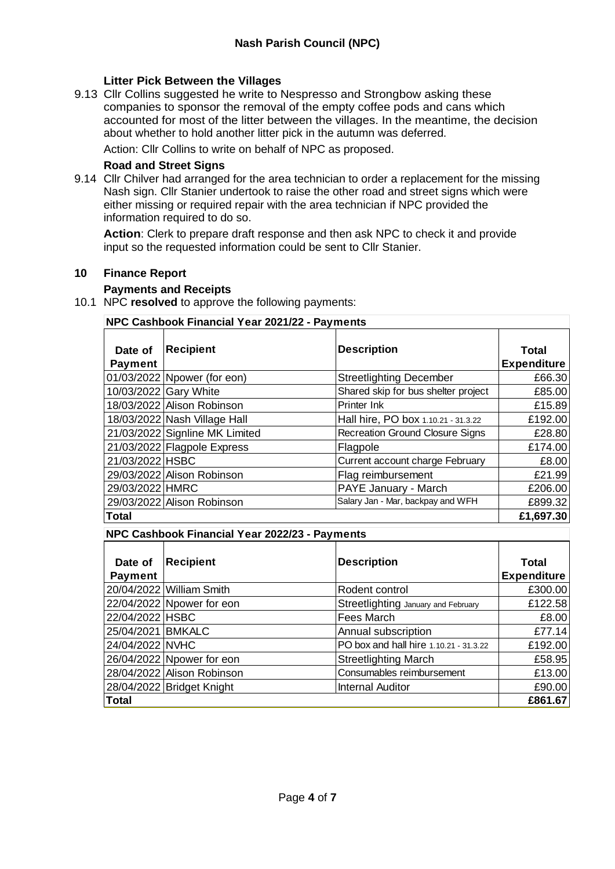## **Litter Pick Between the Villages**

9.13 Cllr Collins suggested he write to Nespresso and Strongbow asking these companies to sponsor the removal of the empty coffee pods and cans which accounted for most of the litter between the villages. In the meantime, the decision about whether to hold another litter pick in the autumn was deferred.

Action: Cllr Collins to write on behalf of NPC as proposed.

## **Road and Street Signs**

9.14 Cllr Chilver had arranged for the area technician to order a replacement for the missing Nash sign. Cllr Stanier undertook to raise the other road and street signs which were either missing or required repair with the area technician if NPC provided the information required to do so.

**Action**: Clerk to prepare draft response and then ask NPC to check it and provide input so the requested information could be sent to Cllr Stanier.

#### **10 Finance Report**

## **Payments and Receipts**

## 10.1 NPC **resolved** to approve the following payments:

| Date of<br><b>Payment</b> | <b>Recipient</b>               | <b>Description</b>                     | Total<br><b>Expenditure</b> |
|---------------------------|--------------------------------|----------------------------------------|-----------------------------|
|                           | 01/03/2022 Npower (for eon)    | <b>Streetlighting December</b>         | £66.30                      |
|                           | 10/03/2022 Gary White          | Shared skip for bus shelter project    | £85.00                      |
|                           | 18/03/2022 Alison Robinson     | Printer Ink                            | £15.89                      |
|                           | 18/03/2022 Nash Village Hall   | Hall hire, PO box 1.10.21 - 31.3.22    | £192.00                     |
|                           | 21/03/2022 Signline MK Limited | <b>Recreation Ground Closure Signs</b> | £28.80                      |
|                           | 21/03/2022 Flagpole Express    | Flagpole                               | £174.00                     |
| 21/03/2022 HSBC           |                                | Current account charge February        | £8.00                       |
|                           | 29/03/2022 Alison Robinson     | Flag reimbursement                     | £21.99                      |
| 29/03/2022 HMRC           |                                | PAYE January - March                   | £206.00                     |
|                           | 29/03/2022 Alison Robinson     | Salary Jan - Mar, backpay and WFH      | £899.32                     |
| <b>Total</b>              |                                |                                        | £1,697.30                   |

**NPC Cashbook Financial Year 2022/23 - Payments**

| Date of           | <b>Recipient</b>           | <b>Description</b>                     | Total              |
|-------------------|----------------------------|----------------------------------------|--------------------|
| <b>Payment</b>    |                            |                                        | <b>Expenditure</b> |
|                   |                            |                                        |                    |
|                   | 20/04/2022 William Smith   | Rodent control                         | £300.00            |
|                   | 22/04/2022 Npower for eon  | Streetlighting January and February    | £122.58            |
| 22/04/2022 HSBC   |                            | Fees March                             | £8.00              |
| 25/04/2021 BMKALC |                            | Annual subscription                    | £77.14             |
| 24/04/2022 NVHC   |                            | PO box and hall hire 1.10.21 - 31.3.22 | £192.00            |
|                   | 26/04/2022 Npower for eon  | <b>Streetlighting March</b>            | £58.95             |
|                   | 28/04/2022 Alison Robinson | Consumables reimbursement              | £13.00             |
|                   | 28/04/2022 Bridget Knight  | <b>Internal Auditor</b>                | £90.00             |
| Total             |                            |                                        | £861.67            |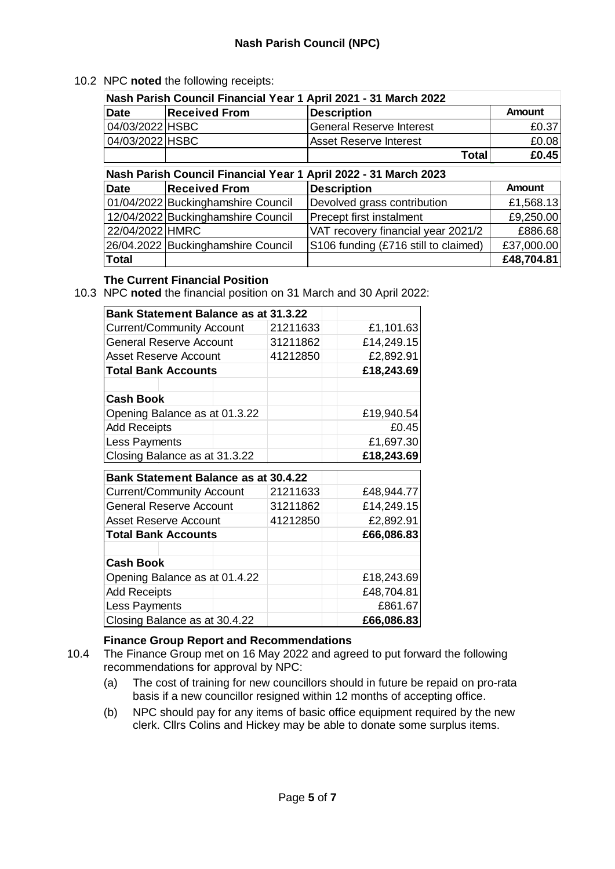10.2 NPC **noted** the following receipts:

| Nash Parish Council Financial Year 1 April 2021 - 31 March 2022 |                      |                                 |              |        |
|-----------------------------------------------------------------|----------------------|---------------------------------|--------------|--------|
| Date                                                            | <b>Received From</b> | <b>Description</b>              |              | Amount |
| 04/03/2022 HSBC                                                 |                      | <b>General Reserve Interest</b> |              | £0.37  |
| 04/03/2022   HSBC                                               |                      | <b>Asset Reserve Interest</b>   |              | £0.08  |
|                                                                 |                      |                                 | <b>Total</b> | £0.45  |
| Nash Parish Council Financial Year 1 April 2022 - 31 March 2023 |                      |                                 |              |        |

| <b>Date</b>     | <b>Received From</b>               | <b>Description</b>                   | <b>Amount</b> |  |
|-----------------|------------------------------------|--------------------------------------|---------------|--|
|                 | 01/04/2022 Buckinghamshire Council | Devolved grass contribution          | £1,568.13     |  |
|                 | 12/04/2022 Buckinghamshire Council | Precept first instalment             | £9,250.00     |  |
| 22/04/2022 HMRC |                                    | VAT recovery financial year 2021/2   | £886.68       |  |
|                 | 26/04.2022 Buckinghamshire Council | S106 funding (£716 still to claimed) | £37,000.00    |  |
| <b>Total</b>    |                                    |                                      | £48,704.81    |  |

# **The Current Financial Position**

10.3 NPC **noted** the financial position on 31 March and 30 April 2022:

| <b>Current/Community Account</b>                                   |                                                                                           | £1,101.63                                                                                                                                                          |
|--------------------------------------------------------------------|-------------------------------------------------------------------------------------------|--------------------------------------------------------------------------------------------------------------------------------------------------------------------|
| <b>General Reserve Account</b>                                     |                                                                                           | £14,249.15                                                                                                                                                         |
| Asset Reserve Account                                              |                                                                                           | £2,892.91                                                                                                                                                          |
|                                                                    |                                                                                           | £18,243.69                                                                                                                                                         |
|                                                                    |                                                                                           |                                                                                                                                                                    |
|                                                                    |                                                                                           |                                                                                                                                                                    |
|                                                                    |                                                                                           | £19,940.54                                                                                                                                                         |
|                                                                    |                                                                                           | £0.45                                                                                                                                                              |
|                                                                    |                                                                                           | £1,697.30                                                                                                                                                          |
| Closing Balance as at 31.3.22                                      |                                                                                           | £18,243.69                                                                                                                                                         |
|                                                                    |                                                                                           |                                                                                                                                                                    |
|                                                                    |                                                                                           | £48,944.77                                                                                                                                                         |
| <b>Current/Community Account</b><br><b>General Reserve Account</b> |                                                                                           | £14,249.15                                                                                                                                                         |
| <b>Asset Reserve Account</b>                                       |                                                                                           | £2,892.91                                                                                                                                                          |
|                                                                    |                                                                                           | £66,086.83                                                                                                                                                         |
|                                                                    |                                                                                           |                                                                                                                                                                    |
|                                                                    |                                                                                           |                                                                                                                                                                    |
|                                                                    |                                                                                           |                                                                                                                                                                    |
| Opening Balance as at 01.4.22                                      |                                                                                           | £18,243.69                                                                                                                                                         |
|                                                                    |                                                                                           | £48,704.81                                                                                                                                                         |
|                                                                    |                                                                                           | £861.67                                                                                                                                                            |
|                                                                    | <b>Total Bank Accounts</b><br>Opening Balance as at 01.3.22<br><b>Total Bank Accounts</b> | <b>Bank Statement Balance as at 31.3.22</b><br>21211633<br>31211862<br>41212850<br><b>Bank Statement Balance as at 30.4.22</b><br>21211633<br>31211862<br>41212850 |

# **Finance Group Report and Recommendations**

- 10.4 The Finance Group met on 16 May 2022 and agreed to put forward the following recommendations for approval by NPC:
	- (a) The cost of training for new councillors should in future be repaid on pro-rata basis if a new councillor resigned within 12 months of accepting office.
	- (b) NPC should pay for any items of basic office equipment required by the new clerk. Cllrs Colins and Hickey may be able to donate some surplus items.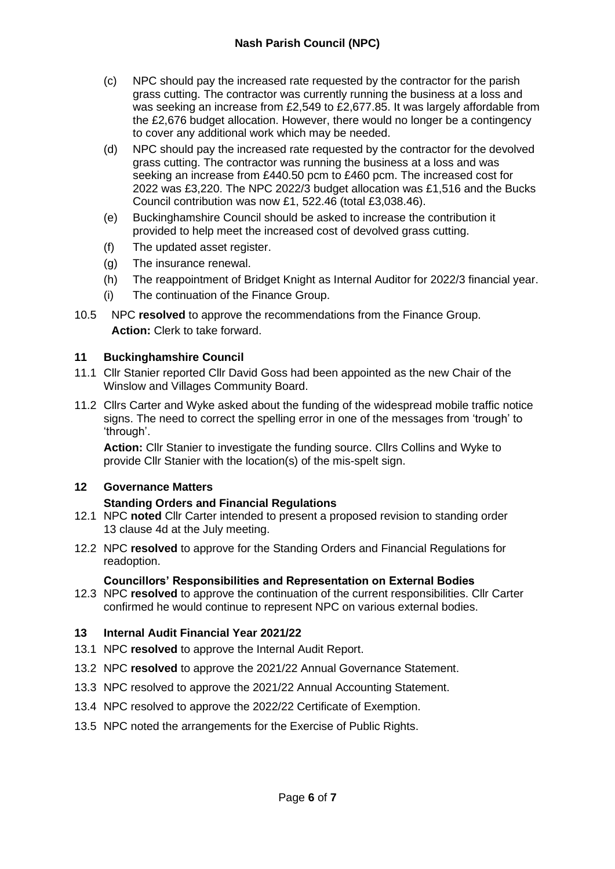- (c) NPC should pay the increased rate requested by the contractor for the parish grass cutting. The contractor was currently running the business at a loss and was seeking an increase from £2,549 to £2,677.85. It was largely affordable from the £2,676 budget allocation. However, there would no longer be a contingency to cover any additional work which may be needed.
- (d) NPC should pay the increased rate requested by the contractor for the devolved grass cutting. The contractor was running the business at a loss and was seeking an increase from £440.50 pcm to £460 pcm. The increased cost for 2022 was £3,220. The NPC 2022/3 budget allocation was £1,516 and the Bucks Council contribution was now £1, 522.46 (total £3,038.46).
- (e) Buckinghamshire Council should be asked to increase the contribution it provided to help meet the increased cost of devolved grass cutting.
- (f) The updated asset register.
- (g) The insurance renewal.
- (h) The reappointment of Bridget Knight as Internal Auditor for 2022/3 financial year.
- (i) The continuation of the Finance Group.
- 10.5 NPC **resolved** to approve the recommendations from the Finance Group. **Action:** Clerk to take forward.

## **11 Buckinghamshire Council**

- 11.1 Cllr Stanier reported Cllr David Goss had been appointed as the new Chair of the Winslow and Villages Community Board.
- 11.2 Cllrs Carter and Wyke asked about the funding of the widespread mobile traffic notice signs. The need to correct the spelling error in one of the messages from 'trough' to 'through'.

**Action:** Cllr Stanier to investigate the funding source. Cllrs Collins and Wyke to provide Cllr Stanier with the location(s) of the mis-spelt sign.

#### **12 Governance Matters**

#### **Standing Orders and Financial Regulations**

- 12.1 NPC **noted** Cllr Carter intended to present a proposed revision to standing order 13 clause 4d at the July meeting.
- 12.2 NPC **resolved** to approve for the Standing Orders and Financial Regulations for readoption.

#### **Councillors' Responsibilities and Representation on External Bodies**

12.3 NPC **resolved** to approve the continuation of the current responsibilities. Cllr Carter confirmed he would continue to represent NPC on various external bodies.

#### **13 Internal Audit Financial Year 2021/22**

- 13.1 NPC **resolved** to approve the Internal Audit Report.
- 13.2 NPC **resolved** to approve the 2021/22 Annual Governance Statement.
- 13.3 NPC resolved to approve the 2021/22 Annual Accounting Statement.
- 13.4 NPC resolved to approve the 2022/22 Certificate of Exemption.
- 13.5 NPC noted the arrangements for the Exercise of Public Rights.